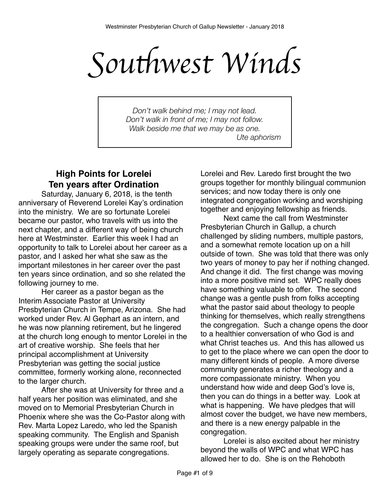Southwest Winds

*Don't walk behind me; I may not lead. Don't walk in front of me; I may not follow. Walk beside me that we may be as one. Ute aphorism*

# **High Points for Lorelei Ten years after Ordination**

Saturday, January 6, 2018, is the tenth anniversary of Reverend Lorelei Kay's ordination into the ministry. We are so fortunate Lorelei became our pastor, who travels with us into the next chapter, and a different way of being church here at Westminster. Earlier this week I had an opportunity to talk to Lorelei about her career as a pastor, and I asked her what she saw as the important milestones in her career over the past ten years since ordination, and so she related the following journey to me.

Her career as a pastor began as the Interim Associate Pastor at University Presbyterian Church in Tempe, Arizona. She had worked under Rev. Al Gephart as an intern, and he was now planning retirement, but he lingered at the church long enough to mentor Lorelei in the art of creative worship. She feels that her principal accomplishment at University Presbyterian was getting the social justice committee, formerly working alone, reconnected to the larger church.

After she was at University for three and a half years her position was eliminated, and she moved on to Memorial Presbyterian Church in Phoenix where she was the Co-Pastor along with Rev. Marta Lopez Laredo, who led the Spanish speaking community. The English and Spanish speaking groups were under the same roof, but largely operating as separate congregations.

Lorelei and Rev. Laredo first brought the two groups together for monthly bilingual communion services; and now today there is only one integrated congregation working and worshiping together and enjoying fellowship as friends.

Next came the call from Westminster Presbyterian Church in Gallup, a church challenged by sliding numbers, multiple pastors, and a somewhat remote location up on a hill outside of town. She was told that there was only two years of money to pay her if nothing changed. And change it did. The first change was moving into a more positive mind set. WPC really does have something valuable to offer. The second change was a gentle push from folks accepting what the pastor said about theology to people thinking for themselves, which really strengthens the congregation. Such a change opens the door to a healthier conversation of who God is and what Christ teaches us. And this has allowed us to get to the place where we can open the door to many different kinds of people. A more diverse community generates a richer theology and a more compassionate ministry. When you understand how wide and deep God's love is, then you can do things in a better way. Look at what is happening. We have pledges that will almost cover the budget, we have new members, and there is a new energy palpable in the congregation.

Lorelei is also excited about her ministry beyond the walls of WPC and what WPC has allowed her to do. She is on the Rehoboth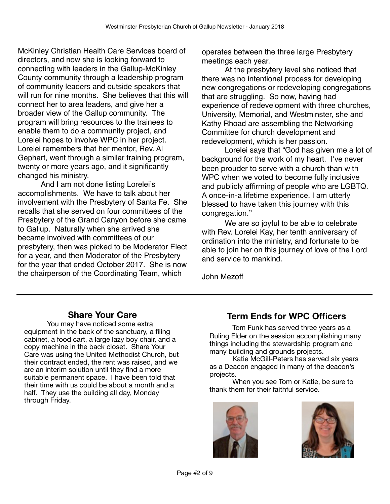McKinley Christian Health Care Services board of directors, and now she is looking forward to connecting with leaders in the Gallup-McKinley County community through a leadership program of community leaders and outside speakers that will run for nine months. She believes that this will connect her to area leaders, and give her a broader view of the Gallup community. The program will bring resources to the trainees to enable them to do a community project, and Lorelei hopes to involve WPC in her project. Lorelei remembers that her mentor, Rev. Al Gephart, went through a similar training program, twenty or more years ago, and it significantly changed his ministry.

And I am not done listing Lorelei's accomplishments. We have to talk about her involvement with the Presbytery of Santa Fe. She recalls that she served on four committees of the Presbytery of the Grand Canyon before she came to Gallup. Naturally when she arrived she became involved with committees of our presbytery, then was picked to be Moderator Elect for a year, and then Moderator of the Presbytery for the year that ended October 2017. She is now the chairperson of the Coordinating Team, which

operates between the three large Presbytery meetings each year.

At the presbytery level she noticed that there was no intentional process for developing new congregations or redeveloping congregations that are struggling. So now, having had experience of redevelopment with three churches, University, Memorial, and Westminster, she and Kathy Rhoad are assembling the Networking Committee for church development and redevelopment, which is her passion.

Lorelei says that "God has given me a lot of background for the work of my heart. I've never been prouder to serve with a church than with WPC when we voted to become fully inclusive and publicly affirming of people who are LGBTQ. A once-in-a lifetime experience. I am utterly blessed to have taken this journey with this congregation."

We are so joyful to be able to celebrate with Rev. Lorelei Kay, her tenth anniversary of ordination into the ministry, and fortunate to be able to join her on this journey of love of the Lord and service to mankind.

John Mezoff

## **Share Your Care**

You may have noticed some extra equipment in the back of the sanctuary, a filing cabinet, a food cart, a large lazy boy chair, and a copy machine in the back closet. Share Your Care was using the United Methodist Church, but their contract ended, the rent was raised, and we are an interim solution until they find a more suitable permanent space. I have been told that their time with us could be about a month and a half. They use the building all day, Monday through Friday.

# **Term Ends for WPC Officers**

Tom Funk has served three years as a Ruling Elder on the session accomplishing many things including the stewardship program and many building and grounds projects.

Katie McGill-Peters has served six years as a Deacon engaged in many of the deacon's projects.

When you see Tom or Katie, be sure to thank them for their faithful service.



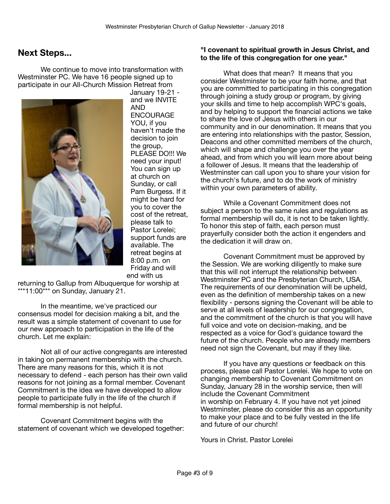## **Next Steps...**

We continue to move into transformation with Westminster PC. We have 16 people signed up to participate in our All-Church Mission Retreat from



January 19-21 and we INVITE AND ENCOURAGE YOU, if you haven't made the decision to join the group, PLEASE DO!!! We need your input! You can sign up at church on Sunday, or call Pam Burgess. If it might be hard for you to cover the cost of the retreat, please talk to Pastor Lorelei; support funds are available. The retreat begins at 8:00 p.m. on Friday and will end with us

returning to Gallup from Albuquerque for worship at \*\*\*11:00\*\*\* on Sunday, January 21.

In the meantime, we've practiced our consensus model for decision making a bit, and the result was a simple statement of covenant to use for our new approach to participation in the life of the church. Let me explain:

Not all of our active congregants are interested in taking on permanent membership with the church. There are many reasons for this, which it is not necessary to defend - each person has their own valid reasons for not joining as a formal member. Covenant Commitment is the idea we have developed to allow people to participate fully in the life of the church if formal membership is not helpful.

Covenant Commitment begins with the statement of covenant which we developed together:

#### **"I covenant to spiritual growth in Jesus Christ, and to the life of this congregation for one year."**

What does that mean? It means that you consider Westminster to be your faith home, and that you are committed to participating in this congregation through joining a study group or program, by giving your skills and time to help accomplish WPC's goals, and by helping to support the financial actions we take to share the love of Jesus with others in our community and in our denomination. It means that you are entering into relationships with the pastor, Session, Deacons and other committed members of the church, which will shape and challenge you over the year ahead, and from which you will learn more about being a follower of Jesus. It means that the leadership of Westminster can call upon you to share your vision for the church's future, and to do the work of ministry within your own parameters of ability.

While a Covenant Commitment does not subject a person to the same rules and regulations as formal membership will do, it is not to be taken lightly. To honor this step of faith, each person must prayerfully consider both the action it engenders and the dedication it will draw on.

Covenant Commitment must be approved by the Session. We are working diligently to make sure that this will not interrupt the relationship between Westminster PC and the Presbyterian Church, USA. The requirements of our denomination will be upheld, even as the definition of membership takes on a new flexibility - persons signing the Covenant will be able to serve at all levels of leadership for our congregation, and the commitment of the church is that you will have full voice and vote on decision-making, and be respected as a voice for God's guidance toward the future of the church. People who are already members need not sign the Covenant, but may if they like.

If you have any questions or feedback on this process, please call Pastor Lorelei. We hope to vote on changing membership to Covenant Commitment on Sunday, January 28 in the worship service, then will include the Covenant Commitment in worship on February 4. If you have not yet joined Westminster, please do consider this as an opportunity to make your place and to be fully vested in the life and future of our church!

Yours in Christ, Pastor Lorelei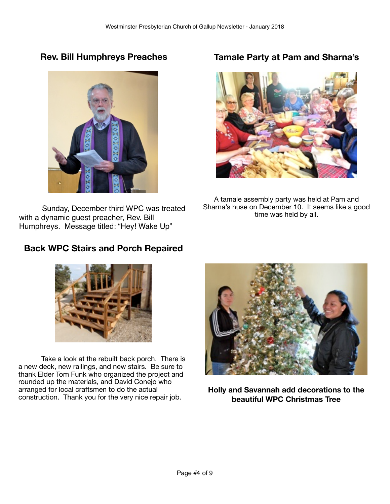**Rev. Bill Humphreys Preaches**



Sunday, December third WPC was treated with a dynamic guest preacher, Rev. Bill Humphreys. Message titled: "Hey! Wake Up"

# **Tamale Party at Pam and Sharna's**



A tamale assembly party was held at Pam and Sharna's huse on December 10. It seems like a good time was held by all.

# **Back WPC Stairs and Porch Repaired**



Take a look at the rebuilt back porch. There is a new deck, new railings, and new stairs. Be sure to thank Elder Tom Funk who organized the project and rounded up the materials, and David Conejo who arranged for local craftsmen to do the actual construction. Thank you for the very nice repair job.



**Holly and Savannah add decorations to the beautiful WPC Christmas Tree**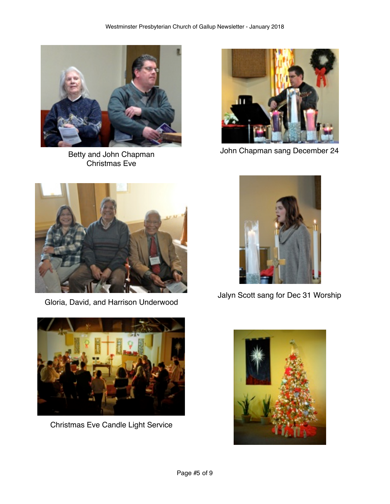

Christmas Eve



John Chapman sang December 24 Betty and John Chapman



Gloria, David, and Harrison Underwood



Jalyn Scott sang for Dec 31 Worship



Christmas Eve Candle Light Service

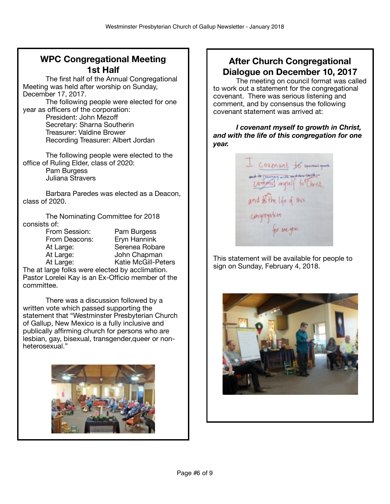# **WPC Congregational Meeting 1st Half**

The first half of the Annual Congregational Meeting was held after worship on Sunday, December 17, 2017.

The following people were elected for one year as officers of the corporation:

President: John Mezoff Secretary: Sharna Southerin Treasurer: Valdine Brower Recording Treasurer: Albert Jordan

The following people were elected to the office of Ruling Elder, class of 2020: Pam Burgess

Juliana Stravers

Barbara Paredes was elected as a Deacon, class of 2020.

The Nominating Committee for 2018 consists of:

From Session: Pam Burgess From Deacons: Eryn Hannink At Large: Serenea Robare At Large: John Chapman At Large: Katie McGill-Peters

The at large folks were elected by acclimation. Pastor Lorelei Kay is an Ex-Officio member of the committee.

There was a discussion followed by a written vote which passed supporting the statement that "Westminster Presbyterian Church of Gallup, New Mexico is a fully inclusive and publically affirming church for persons who are lesbian, gay, bisexual, transgender,queer or nonheterosexual."



# **After Church Congregational Dialogue on December 10, 2017**

The meeting on council format was called to work out a statement for the congregational covenant. There was serious listening and comment, and by consensus the following covenant statement was arrived at:

*I covenant myself to growth in Christ, and with the life of this congregation for one year.*



This statement will be available for people to sign on Sunday, February 4, 2018.

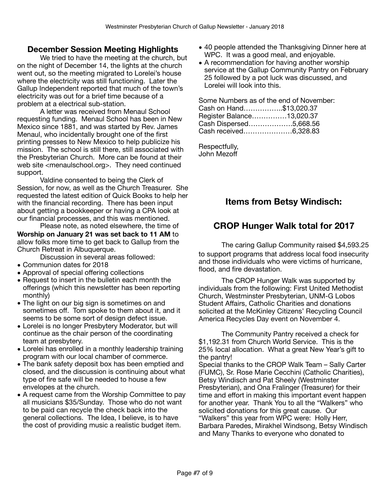#### **December Session Meeting Highlights**

We tried to have the meeting at the church, but on the night of December 14, the lights at the church went out, so the meeting migrated to Lorelei's house where the electricity was still functioning. Later the Gallup Independent reported that much of the town's electricity was out for a brief time because of a problem at a electrical sub-station.

A letter was received from Menaul School requesting funding. Menaul School has been in New Mexico since 1881, and was started by Rev. James Menaul, who incidentally brought one of the first printing presses to New Mexico to help publicize his mission. The school is still there, still associated with the Presbyterian Church. More can be found at their web site <menaulschool.org>. They need continued support.

Valdine consented to being the Clerk of Session, for now, as well as the Church Treasurer. She requested the latest edition of Quick Books to help her with the financial recording. There has been input about getting a bookkeeper or having a CPA look at our financial processes, and this was mentioned.

Please note, as noted elsewhere, the time of **Worship on January 21 was set back to 11 AM** to allow folks more time to get back to Gallup from the Church Retreat in Albuquerque.

Discussion in several areas followed:

- Communion dates for 2018
- Approval of special offering collections
- Request to insert in the bulletin each month the offerings (which this newsletter has been reporting monthly)
- The light on our big sign is sometimes on and sometimes off. Tom spoke to them about it, and it seems to be some sort of design defect issue.
- Lorelei is no longer Presbytery Moderator, but will continue as the chair person of the coordinating team at presbytery.
- Lorelei has enrolled in a monthly leadership training program with our local chamber of commerce.
- The bank safety deposit box has been emptied and closed, and the discussion is continuing about what type of fire safe will be needed to house a few envelopes at the church.
- A request came from the Worship Committee to pay all musicians \$35/Sunday. Those who do not want to be paid can recycle the check back into the general collections. The Idea, I believe, is to have the cost of providing music a realistic budget item.
- 40 people attended the Thanksgiving Dinner here at WPC. It was a good meal, and enjoyable.
- A recommendation for having another worship service at the Gallup Community Pantry on February 25 followed by a pot luck was discussed, and Lorelei will look into this.

Some Numbers as of the end of November: Cash on Hand……………..\$13,020.37 Register Balance……………13,020.37 Cash Dispersed……………….5,668.56 Cash received…………………6,328.83

Respectfully, John Mezoff

# **Items from Betsy Windisch:**

### **CROP Hunger Walk total for 2017**

The caring Gallup Community raised \$4,593.25 to support programs that address local food insecurity and those individuals who were victims of hurricane, flood, and fire devastation.

The CROP Hunger Walk was supported by individuals from the following: First United Methodist Church, Westminster Presbyterian, UNM-G Lobos Student Affairs, Catholic Charities and donations solicited at the McKinley Citizens' Recycling Council America Recycles Day event on November 4.

The Community Pantry received a check for \$1,192.31 from Church World Service. This is the 25% local allocation. What a great New Year's gift to the pantry!

Special thanks to the CROP Walk Team – Sally Carter (FUMC), Sr. Rose Marie Cecchini (Catholic Charities), Betsy Windisch and Pat Sheely (Westminster Presbyterian), and Ona Fralinger (Treasurer) for their time and effort in making this important event happen for another year. Thank You to all the "Walkers" who solicited donations for this great cause. Our "Walkers" this year from WPC were: Holly Herr, Barbara Paredes, Mirakhel Windsong, Betsy Windisch and Many Thanks to everyone who donated to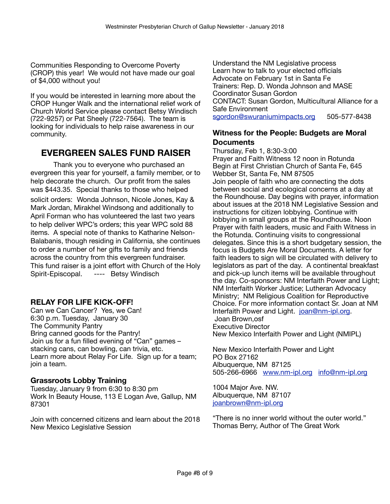Communities Responding to Overcome Poverty (CROP) this year! We would not have made our goal of \$4,000 without you!

If you would be interested in learning more about the CROP Hunger Walk and the international relief work of Church World Service please contact Betsy Windisch (722-9257) or Pat Sheely (722-7564). The team is looking for individuals to help raise awareness in our community.

## **EVERGREEN SALES FUND RAISER**

Thank you to everyone who purchased an evergreen this year for yourself, a family member, or to help decorate the church. Our profit from the sales was \$443.35. Special thanks to those who helped solicit orders: Wonda Johnson, Nicole Jones, Kay & Mark Jordan, Mirakhel Windsong and additionally to April Forman who has volunteered the last two years to help deliver WPC's orders; this year WPC sold 88 items. A special note of thanks to Katharine Nelson-Balabanis, though residing in California, she continues to order a number of her gifts to family and friends across the country from this evergreen fundraiser. This fund raiser is a joint effort with Church of the Holy Spirit-Episcopal. ---- Betsy Windisch

#### **RELAY FOR LIFE KICK-OFF!**

Can we Can Cancer? Yes, we Can! 6:30 p.m. Tuesday, January 30 The Community Pantry Bring canned goods for the Pantry! Join us for a fun filled evening of "Can" games – stacking cans, can bowling, can trivia, etc. Learn more about Relay For Life. Sign up for a team; join a team.

#### **Grassroots Lobby Training**

Tuesday, January 9 from 6:30 to 8:30 pm Work In Beauty House, 113 E Logan Ave, Gallup, NM 87301

Join with concerned citizens and learn about the 2018 New Mexico Legislative Session

Understand the NM Legislative process Learn how to talk to your elected officials Advocate on February 1st in Santa Fe Trainers: Rep. D. Wonda Johnson and MASE Coordinator Susan Gordon CONTACT: Susan Gordon, Multicultural Alliance for a Safe Environment

[sgordon@swuraniumimpacts.org](mailto:sgordon@swuraniumimpacts.org) 505-577-8438

#### **Witness for the People: Budgets are Moral Documents**

Thursday, Feb 1, 8:30-3:00 Prayer and Faith Witness 12 noon in Rotunda Begin at First Christian Church of Santa Fe, 645 Webber St, Santa Fe, NM 87505 Join people of faith who are connecting the dots between social and ecological concerns at a day at the Roundhouse. Day begins with prayer, information about issues at the 2018 NM Legislative Session and instructions for citizen lobbying. Continue with lobbying in small groups at the Roundhouse. Noon Prayer with faith leaders, music and Faith Witness in the Rotunda. Continuing visits to congressional delegates. Since this is a short budgetary session, the focus is Budgets Are Moral Documents. A letter for faith leaders to sign will be circulated with delivery to legislators as part of the day. A continental breakfast and pick-up lunch items will be available throughout the day. Co-sponsors: NM Interfaith Power and Light; NM Interfaith Worker Justice; Lutheran Advocacy Ministry; NM Religious Coalition for Reproductive Choice. For more information contact Sr. Joan at NM Interfaith Power and Light. [joan@nm-ipl.org.](mailto:joan@nm-ipl.org) Joan Brown,osf Executive Director New Mexico Interfaith Power and Light (NMIPL)

New Mexico Interfaith Power and Light PO Box 27162 Albuquerque, NM 87125 505-266-6966 [www.nm-ipl.org](http://www.nm-ipl.org/) [info@nm-ipl.org](mailto:info@nm-ipl.org)

1004 Major Ave. NW. Albuquerque, NM 87107 [joanbrown@nm-ipl.org](mailto:joanbrown@nm-ipl.org)

"There is no inner world without the outer world." Thomas Berry, Author of The Great Work